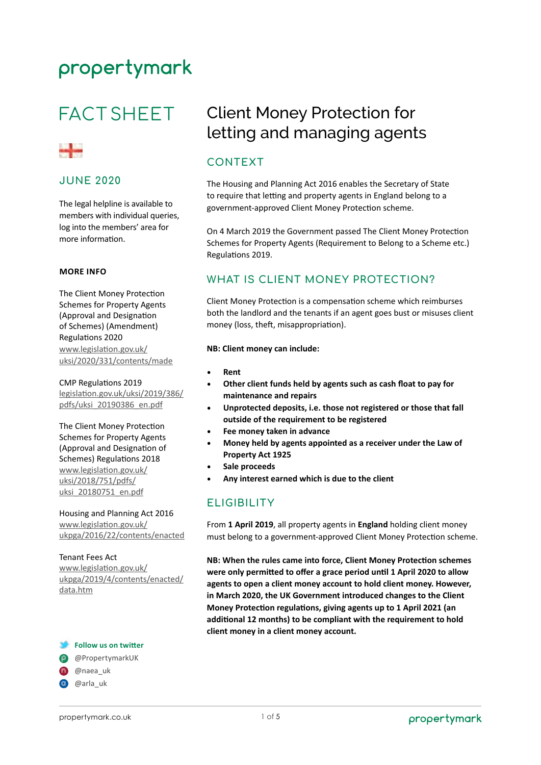# **FACT SHEET**



### **JUNE 2020**

The legal helpline is available to members with individual queries, log into the members' area for more information.

#### **MORE INFO**

The Client Money Protection Schemes for Property Agents (Approval and Designation of Schemes) (Amendment) Regulations 2020 [www.legislation.gov.uk/](http://www.legislation.gov.uk/uksi/2020/331/contents/made) [uksi/2020/331/contents/made](http://www.legislation.gov.uk/uksi/2020/331/contents/made)

CMP Regulations 2019 [legislation.gov.uk/uksi/2019/386/](http://www.legislation.gov.uk/uksi/2019/386/pdfs/uksi_20190386_en.pdf) [pdfs/uksi\\_20190386\\_en.pdf](http://www.legislation.gov.uk/uksi/2019/386/pdfs/uksi_20190386_en.pdf)

The Client Money Protection Schemes for Property Agents (Approval and Designation of Schemes) Regulations 2018 [www.legislation.gov.uk/](http://www.legislation.gov.uk/uksi/2018/751/pdfs/uksi_20180751_en.pdf) [uksi/2018/751/pdfs/](http://www.legislation.gov.uk/uksi/2018/751/pdfs/uksi_20180751_en.pdf) [uksi\\_20180751\\_en.pdf](http://www.legislation.gov.uk/uksi/2018/751/pdfs/uksi_20180751_en.pdf)

Housing and Planning Act 2016 [www.legislation.gov.uk/](http://www.legislation.gov.uk/ukpga/2016/22/contents/enacted) [ukpga/2016/22/contents/enacted](http://www.legislation.gov.uk/ukpga/2016/22/contents/enacted)

#### Tenant Fees Act

[www.legislation.gov.uk/](http://www.legislation.gov.uk/ukpga/2019/4/contents/enacted/data.htm) [ukpga/2019/4/contents/enacted/](http://www.legislation.gov.uk/ukpga/2019/4/contents/enacted/data.htm) [data.htm](http://www.legislation.gov.uk/ukpga/2019/4/contents/enacted/data.htm)

#### **Follow us on twitter**

@PropertymarkUK

**@**naea\_uk

**@** @arla\_uk

## Client Money Protection for letting and managing agents

## **CONTEXT**

The Housing and Planning Act 2016 enables the Secretary of State to require that letting and property agents in England belong to a government-approved Client Money Protection scheme.

On 4 March 2019 the Government passed The Client Money Protection Schemes for Property Agents (Requirement to Belong to a Scheme etc.) Regulations 2019.

### **WHAT IS CLIENT MONEY PROTECTION?**

Client Money Protection is a compensation scheme which reimburses both the landlord and the tenants if an agent goes bust or misuses client money (loss, theft, misappropriation).

#### **NB: Client money can include:**

- **Rent**
- **Other client funds held by agents such as cash float to pay for maintenance and repairs**
- **Unprotected deposits, i.e. those not registered or those that fall outside of the requirement to be registered**
- **Fee money taken in advance**
- **Money held by agents appointed as a receiver under the Law of Property Act 1925**
- **Sale proceeds**
- **Any interest earned which is due to the client**

## **ELIGIBILITY**

From **1 April 2019**, all property agents in **England** holding client money must belong to a government-approved Client Money Protection scheme.

**NB: When the rules came into force, Client Money Protection schemes were only permitted to offer a grace period until 1 April 2020 to allow agents to open a client money account to hold client money. However, in March 2020, the UK Government introduced changes to the Client Money Protection regulations, giving agents up to 1 April 2021 (an additional 12 months) to be compliant with the requirement to hold client money in a client money account.**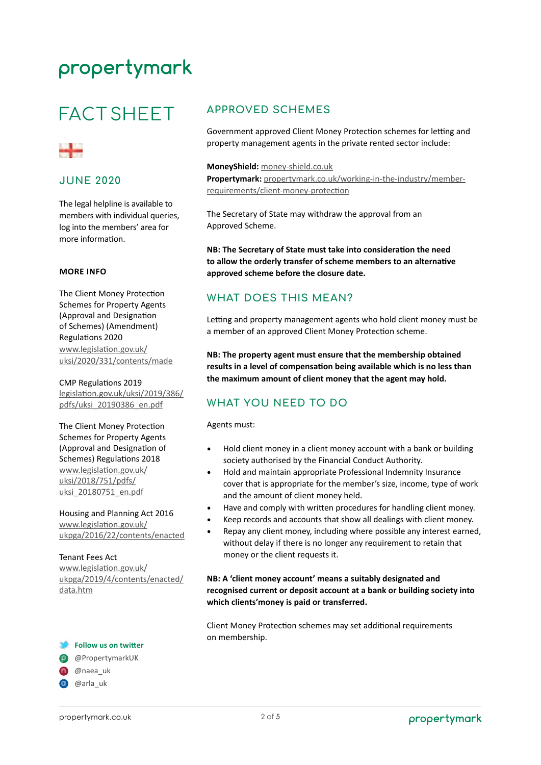# **FACT SHEET**



### **JUNE 2020**

The legal helpline is available to members with individual queries, log into the members' area for more information.

#### **MORE INFO**

The Client Money Protection Schemes for Property Agents (Approval and Designation of Schemes) (Amendment) Regulations 2020 [www.legislation.gov.uk/](http://www.legislation.gov.uk/uksi/2020/331/contents/made) [uksi/2020/331/contents/made](http://www.legislation.gov.uk/uksi/2020/331/contents/made)

CMP Regulations 2019 [legislation.gov.uk/uksi/2019/386/](http://www.legislation.gov.uk/uksi/2019/386/pdfs/uksi_20190386_en.pdf) [pdfs/uksi\\_20190386\\_en.pdf](http://www.legislation.gov.uk/uksi/2019/386/pdfs/uksi_20190386_en.pdf)

The Client Money Protection Schemes for Property Agents (Approval and Designation of Schemes) Regulations 2018 [www.legislation.gov.uk/](http://www.legislation.gov.uk/uksi/2018/751/pdfs/uksi_20180751_en.pdf) [uksi/2018/751/pdfs/](http://www.legislation.gov.uk/uksi/2018/751/pdfs/uksi_20180751_en.pdf) [uksi\\_20180751\\_en.pdf](http://www.legislation.gov.uk/uksi/2018/751/pdfs/uksi_20180751_en.pdf)

Housing and Planning Act 2016 [www.legislation.gov.uk/](http://www.legislation.gov.uk/ukpga/2016/22/contents/enacted) [ukpga/2016/22/contents/enacted](http://www.legislation.gov.uk/ukpga/2016/22/contents/enacted)

#### Tenant Fees Act

[www.legislation.gov.uk/](http://www.legislation.gov.uk/ukpga/2019/4/contents/enacted/data.htm) [ukpga/2019/4/contents/enacted/](http://www.legislation.gov.uk/ukpga/2019/4/contents/enacted/data.htm) [data.htm](http://www.legislation.gov.uk/ukpga/2019/4/contents/enacted/data.htm)

#### **Follow us on twitter**

@PropertymarkUK

**@**naea\_uk

**@** @arla\_uk

## **APPROVED SCHEMES**

Government approved Client Money Protection schemes for letting and property management agents in the private rented sector include:

#### **MoneyShield:** [money-shield.co.uk](http://www.money-shield.co.uk)

**Propertymark:** [propertymark.co.uk/working-in-the-industry/member](http://www.propertymark.co.uk/working-in-the-industry/member-requirements/client-money-protection)[requirements/client-money-protection](http://www.propertymark.co.uk/working-in-the-industry/member-requirements/client-money-protection)

The Secretary of State may withdraw the approval from an Approved Scheme.

**NB: The Secretary of State must take into consideration the need to allow the orderly transfer of scheme members to an alternative approved scheme before the closure date.** 

## **WHAT DOES THIS MEAN?**

Letting and property management agents who hold client money must be a member of an approved Client Money Protection scheme.

**NB: The property agent must ensure that the membership obtained results in a level of compensation being available which is no less than the maximum amount of client money that the agent may hold.** 

## **WHAT YOU NEED TO DO**

Agents must:

- Hold client money in a client money account with a bank or building society authorised by the Financial Conduct Authority.
- Hold and maintain appropriate Professional Indemnity Insurance cover that is appropriate for the member's size, income, type of work and the amount of client money held.
- Have and comply with written procedures for handling client money.
- Keep records and accounts that show all dealings with client money.
- Repay any client money, including where possible any interest earned, without delay if there is no longer any requirement to retain that money or the client requests it.

### **NB: A 'client money account' means a suitably designated and recognised current or deposit account at a bank or building society into which clients'money is paid or transferred.**

Client Money Protection schemes may set additional requirements on membership.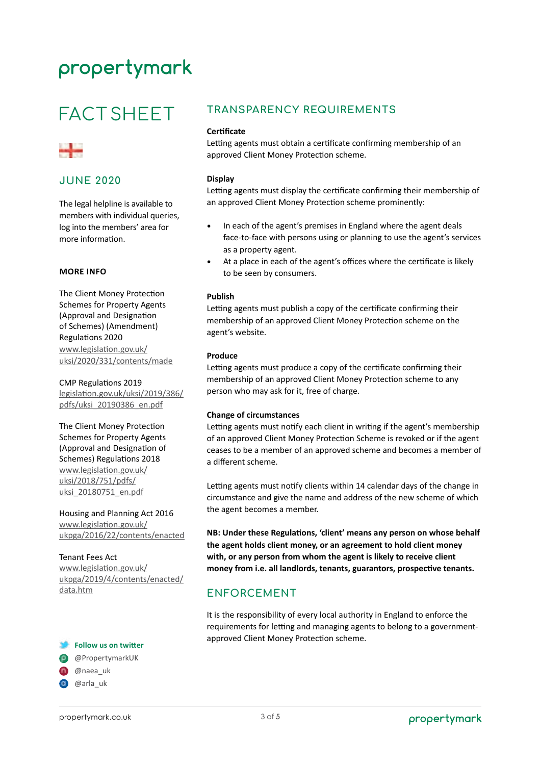# **FACT SHEET**



### **JUNE 2020**

The legal helpline is available to members with individual queries, log into the members' area for more information.

#### **MORE INFO**

The Client Money Protection Schemes for Property Agents (Approval and Designation of Schemes) (Amendment) Regulations 2020 [www.legislation.gov.uk/](http://www.legislation.gov.uk/uksi/2020/331/contents/made) [uksi/2020/331/contents/made](http://www.legislation.gov.uk/uksi/2020/331/contents/made)

#### CMP Regulations 2019

[legislation.gov.uk/uksi/2019/386/](http://www.legislation.gov.uk/uksi/2019/386/pdfs/uksi_20190386_en.pdf) [pdfs/uksi\\_20190386\\_en.pdf](http://www.legislation.gov.uk/uksi/2019/386/pdfs/uksi_20190386_en.pdf)

The Client Money Protection Schemes for Property Agents (Approval and Designation of Schemes) Regulations 2018 [www.legislation.gov.uk/](http://www.legislation.gov.uk/uksi/2018/751/pdfs/uksi_20180751_en.pdf) [uksi/2018/751/pdfs/](http://www.legislation.gov.uk/uksi/2018/751/pdfs/uksi_20180751_en.pdf) [uksi\\_20180751\\_en.pdf](http://www.legislation.gov.uk/uksi/2018/751/pdfs/uksi_20180751_en.pdf)

Housing and Planning Act 2016 [www.legislation.gov.uk/](http://www.legislation.gov.uk/ukpga/2016/22/contents/enacted) [ukpga/2016/22/contents/enacted](http://www.legislation.gov.uk/ukpga/2016/22/contents/enacted)

#### Tenant Fees Act

[www.legislation.gov.uk/](http://www.legislation.gov.uk/ukpga/2019/4/contents/enacted/data.htm) [ukpga/2019/4/contents/enacted/](http://www.legislation.gov.uk/ukpga/2019/4/contents/enacted/data.htm) [data.htm](http://www.legislation.gov.uk/ukpga/2019/4/contents/enacted/data.htm)

#### **Follow us on twitter**

@PropertymarkUK

- **@**naea\_uk
- **@** @arla\_uk

### **TRANSPARENCY REQUIREMENTS**

#### **Certificate**

Letting agents must obtain a certificate confirming membership of an approved Client Money Protection scheme.

#### **Display**

Letting agents must display the certificate confirming their membership of an approved Client Money Protection scheme prominently:

- In each of the agent's premises in England where the agent deals face-to-face with persons using or planning to use the agent's services as a property agent.
- At a place in each of the agent's offices where the certificate is likely to be seen by consumers.

#### **Publish**

Letting agents must publish a copy of the certificate confirming their membership of an approved Client Money Protection scheme on the agent's website.

#### **Produce**

Letting agents must produce a copy of the certificate confirming their membership of an approved Client Money Protection scheme to any person who may ask for it, free of charge.

#### **Change of circumstances**

Letting agents must notify each client in writing if the agent's membership of an approved Client Money Protection Scheme is revoked or if the agent ceases to be a member of an approved scheme and becomes a member of a different scheme.

Letting agents must notify clients within 14 calendar days of the change in circumstance and give the name and address of the new scheme of which the agent becomes a member.

**NB: Under these Regulations, 'client' means any person on whose behalf the agent holds client money, or an agreement to hold client money with, or any person from whom the agent is likely to receive client money from i.e. all landlords, tenants, guarantors, prospective tenants.** 

## **ENFORCEMENT**

It is the responsibility of every local authority in England to enforce the requirements for letting and managing agents to belong to a governmentapproved Client Money Protection scheme.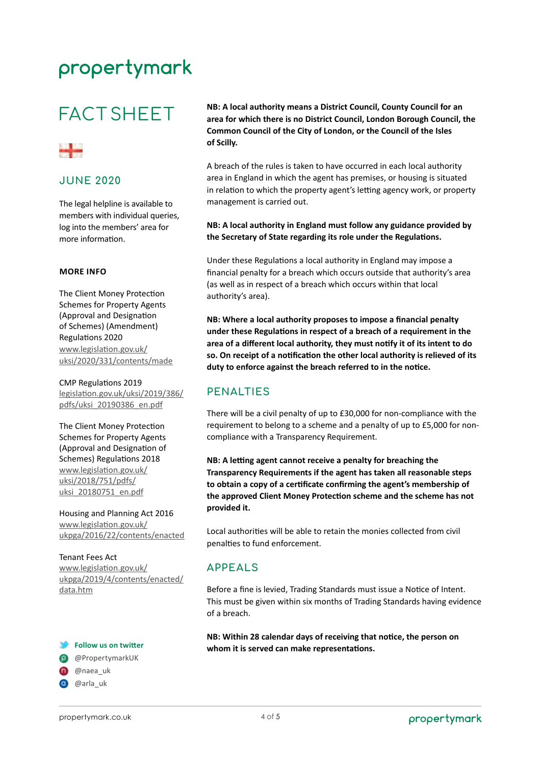# **FACT SHEET**



### **JUNE 2020**

The legal helpline is available to members with individual queries, log into the members' area for more information.

#### **MORE INFO**

The Client Money Protection Schemes for Property Agents (Approval and Designation of Schemes) (Amendment) Regulations 2020 [www.legislation.gov.uk/](http://www.legislation.gov.uk/uksi/2020/331/contents/made) [uksi/2020/331/contents/made](http://www.legislation.gov.uk/uksi/2020/331/contents/made)

CMP Regulations 2019 [legislation.gov.uk/uksi/2019/386/](http://www.legislation.gov.uk/uksi/2019/386/pdfs/uksi_20190386_en.pdf) [pdfs/uksi\\_20190386\\_en.pdf](http://www.legislation.gov.uk/uksi/2019/386/pdfs/uksi_20190386_en.pdf)

The Client Money Protection Schemes for Property Agents (Approval and Designation of Schemes) Regulations 2018 [www.legislation.gov.uk/](http://www.legislation.gov.uk/uksi/2018/751/pdfs/uksi_20180751_en.pdf) [uksi/2018/751/pdfs/](http://www.legislation.gov.uk/uksi/2018/751/pdfs/uksi_20180751_en.pdf) [uksi\\_20180751\\_en.pdf](http://www.legislation.gov.uk/uksi/2018/751/pdfs/uksi_20180751_en.pdf)

Housing and Planning Act 2016 [www.legislation.gov.uk/](http://www.legislation.gov.uk/ukpga/2016/22/contents/enacted) [ukpga/2016/22/contents/enacted](http://www.legislation.gov.uk/ukpga/2016/22/contents/enacted)

Tenant Fees Act [www.legislation.gov.uk/](http://www.legislation.gov.uk/ukpga/2019/4/contents/enacted/data.htm) [ukpga/2019/4/contents/enacted/](http://www.legislation.gov.uk/ukpga/2019/4/contents/enacted/data.htm) [data.htm](http://www.legislation.gov.uk/ukpga/2019/4/contents/enacted/data.htm)

#### **Follow us on twitter**

@PropertymarkUK

- **@**naea\_uk
- **@** @arla\_uk

**NB: A local authority means a District Council, County Council for an area for which there is no District Council, London Borough Council, the Common Council of the City of London, or the Council of the Isles of Scilly.**

A breach of the rules is taken to have occurred in each local authority area in England in which the agent has premises, or housing is situated in relation to which the property agent's letting agency work, or property management is carried out.

#### **NB: A local authority in England must follow any guidance provided by the Secretary of State regarding its role under the Regulations.**

Under these Regulations a local authority in England may impose a financial penalty for a breach which occurs outside that authority's area (as well as in respect of a breach which occurs within that local authority's area).

**NB: Where a local authority proposes to impose a financial penalty under these Regulations in respect of a breach of a requirement in the area of a different local authority, they must notify it of its intent to do so. On receipt of a notification the other local authority is relieved of its duty to enforce against the breach referred to in the notice.**

### **PENALTIES**

There will be a civil penalty of up to £30,000 for non-compliance with the requirement to belong to a scheme and a penalty of up to £5,000 for noncompliance with a Transparency Requirement.

**NB: A letting agent cannot receive a penalty for breaching the Transparency Requirements if the agent has taken all reasonable steps to obtain a copy of a certificate confirming the agent's membership of the approved Client Money Protection scheme and the scheme has not provided it.** 

Local authorities will be able to retain the monies collected from civil penalties to fund enforcement.

### **APPEALS**

Before a fine is levied, Trading Standards must issue a Notice of Intent. This must be given within six months of Trading Standards having evidence of a breach.

**NB: Within 28 calendar days of receiving that notice, the person on whom it is served can make representations.**